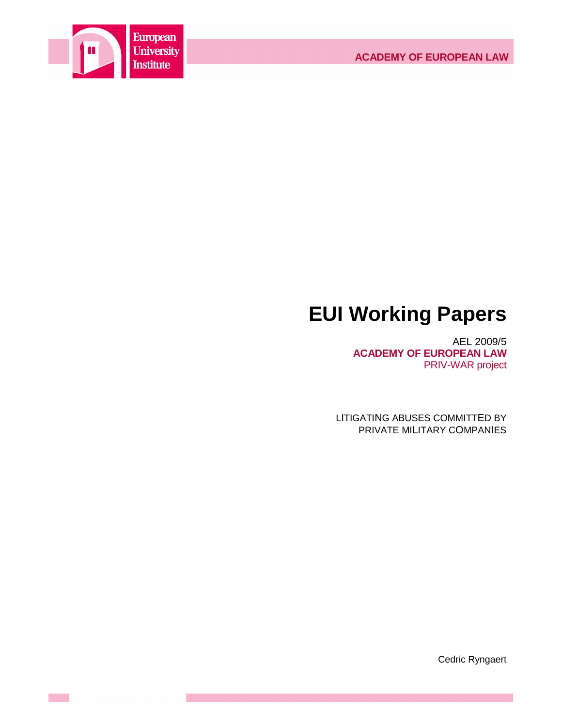



# **EUI Working Papers**

AEL 2009/5 **ACADEMY OF EUROPEAN LAW** PRIV-WAR project

LITIGATING ABUSES COMMITTED BY PRIVATE MILITARY COMPANIES

Cedric Ryngaert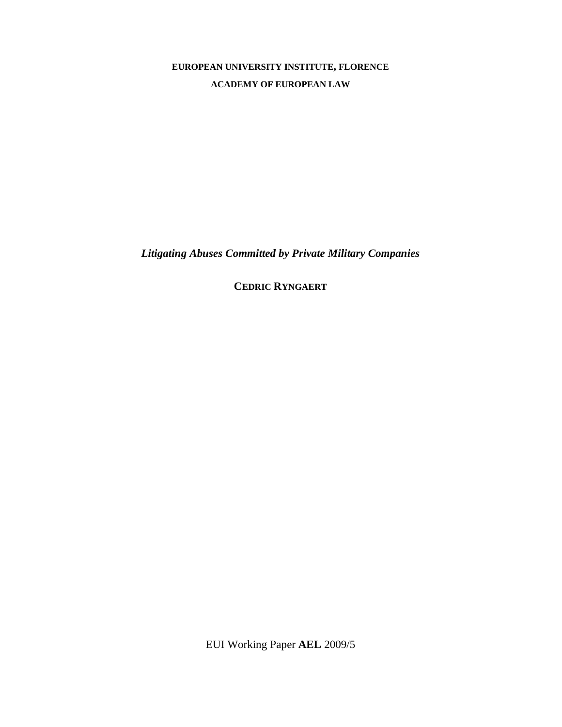## **EUROPEAN UNIVERSITY INSTITUTE, FLORENCE ACADEMY OF EUROPEAN LAW**

*Litigating Abuses Committed by Private Military Companies* 

**CEDRIC RYNGAERT**

EUI Working Paper **AEL** 2009/5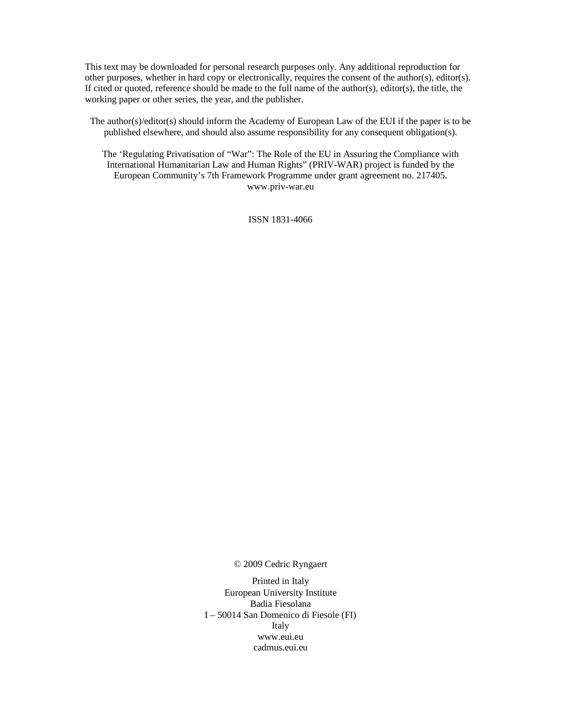This text may be downloaded for personal research purposes only. Any additional reproduction for other purposes, whether in hard copy or electronically, requires the consent of the author(s), editor(s). If cited or quoted, reference should be made to the full name of the author(s), editor(s), the title, the working paper or other series, the year, and the publisher.

The author(s)/editor(s) should inform the Academy of European Law of the EUI if the paper is to be published elsewhere, and should also assume responsibility for any consequent obligation(s).

The 'Regulating Privatisation of "War": The Role of the EU in Assuring the Compliance with International Humanitarian Law and Human Rights" (PRIV-WAR) project is funded by the European Community's 7th Framework Programme under grant agreement no. 217405. www.priv-war.eu

ISSN 1831-4066

© 2009 Cedric Ryngaert

Printed in Italy European University Institute Badia Fiesolana I – 50014 San Domenico di Fiesole (FI) Italy www.eui.eu cadmus.eui.eu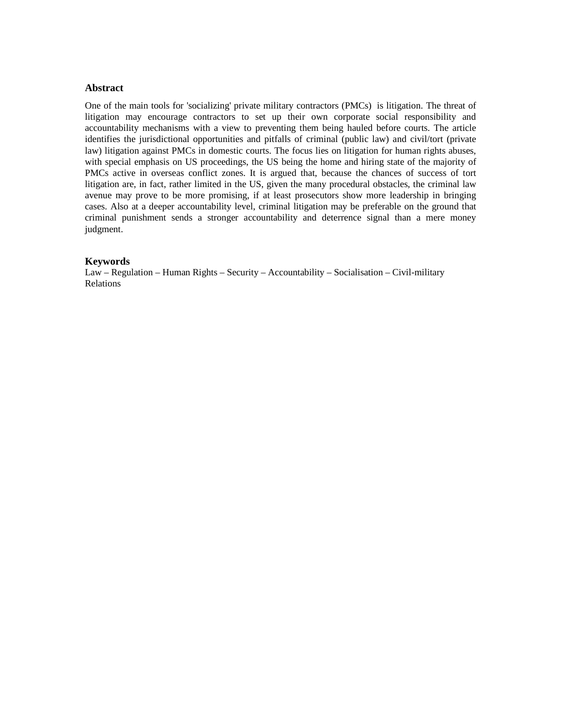## **Abstract**

One of the main tools for 'socializing' private military contractors (PMCs) is litigation. The threat of litigation may encourage contractors to set up their own corporate social responsibility and accountability mechanisms with a view to preventing them being hauled before courts. The article identifies the jurisdictional opportunities and pitfalls of criminal (public law) and civil/tort (private law) litigation against PMCs in domestic courts. The focus lies on litigation for human rights abuses, with special emphasis on US proceedings, the US being the home and hiring state of the majority of PMCs active in overseas conflict zones. It is argued that, because the chances of success of tort litigation are, in fact, rather limited in the US, given the many procedural obstacles, the criminal law avenue may prove to be more promising, if at least prosecutors show more leadership in bringing cases. Also at a deeper accountability level, criminal litigation may be preferable on the ground that criminal punishment sends a stronger accountability and deterrence signal than a mere money judgment.

#### **Keywords**

Law – Regulation – Human Rights – Security – Accountability – Socialisation – Civil-military Relations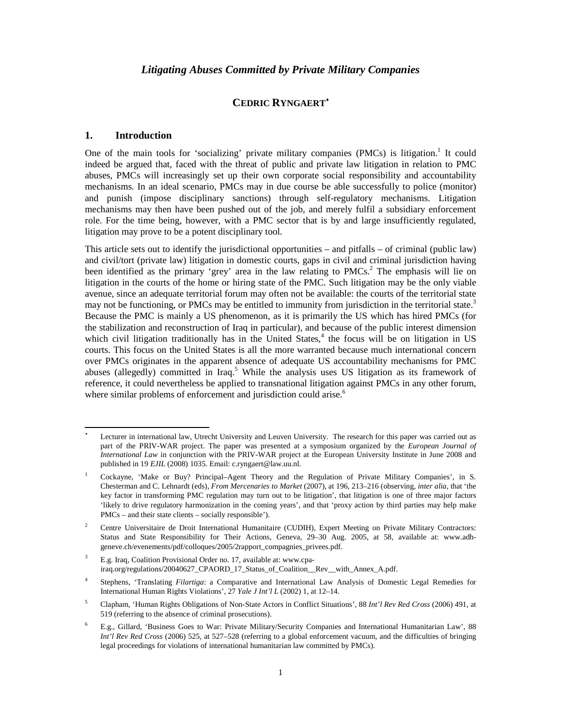## **CEDRIC RYNGAERT**•

## **1. Introduction**

 $\overline{a}$ 

One of the main tools for 'socializing' private military companies (PMCs) is litigation.<sup>1</sup> It could indeed be argued that, faced with the threat of public and private law litigation in relation to PMC abuses, PMCs will increasingly set up their own corporate social responsibility and accountability mechanisms. In an ideal scenario, PMCs may in due course be able successfully to police (monitor) and punish (impose disciplinary sanctions) through self-regulatory mechanisms. Litigation mechanisms may then have been pushed out of the job, and merely fulfil a subsidiary enforcement role. For the time being, however, with a PMC sector that is by and large insufficiently regulated, litigation may prove to be a potent disciplinary tool.

This article sets out to identify the jurisdictional opportunities – and pitfalls – of criminal (public law) and civil/tort (private law) litigation in domestic courts, gaps in civil and criminal jurisdiction having been identified as the primary 'grey' area in the law relating to PMCs.<sup>2</sup> The emphasis will lie on litigation in the courts of the home or hiring state of the PMC. Such litigation may be the only viable avenue, since an adequate territorial forum may often not be available: the courts of the territorial state may not be functioning, or PMCs may be entitled to immunity from jurisdiction in the territorial state.<sup>3</sup> Because the PMC is mainly a US phenomenon, as it is primarily the US which has hired PMCs (for the stabilization and reconstruction of Iraq in particular), and because of the public interest dimension which civil litigation traditionally has in the United States, $4$  the focus will be on litigation in US courts. This focus on the United States is all the more warranted because much international concern over PMCs originates in the apparent absence of adequate US accountability mechanisms for PMC abuses (allegedly) committed in Iraq.<sup>5</sup> While the analysis uses US litigation as its framework of reference, it could nevertheless be applied to transnational litigation against PMCs in any other forum, where similar problems of enforcement and jurisdiction could arise.<sup>6</sup>

<sup>•</sup> Lecturer in international law, Utrecht University and Leuven University. The research for this paper was carried out as part of the PRIV-WAR project. The paper was presented at a symposium organized by the *European Journal of International Law* in conjunction with the PRIV-WAR project at the European University Institute in June 2008 and published in 19 *EJIL* (2008) 1035. Email: c.ryngaert@law.uu.nl.

<sup>1</sup> Cockayne, 'Make or Buy? Principal–Agent Theory and the Regulation of Private Military Companies', in S. Chesterman and C. Lehnardt (eds), *From Mercenaries to Market* (2007), at 196, 213–216 (observing, *inter alia*, that 'the key factor in transforming PMC regulation may turn out to be litigation', that litigation is one of three major factors 'likely to drive regulatory harmonization in the coming years', and that 'proxy action by third parties may help make PMCs – and their state clients – socially responsible').

<sup>2</sup> Centre Universitaire de Droit International Humanitaire (CUDIH), Expert Meeting on Private Military Contractors: Status and State Responsibility for Their Actions, Geneva, 29–30 Aug. 2005, at 58, available at: www.adhgeneve.ch/evenements/pdf/colloques/2005/2rapport\_compagnies\_privees.pdf.

<sup>3</sup> E.g. Iraq, Coalition Provisional Order no. 17, available at: www.cpairaq.org/regulations/20040627\_CPAORD\_17\_Status\_of\_Coalition\_\_Rev\_\_with\_Annex\_A.pdf.

<sup>4</sup> Stephens, 'Translating *Filartiga*: a Comparative and International Law Analysis of Domestic Legal Remedies for International Human Rights Violations', 27 *Yale J Int'l L* (2002) 1, at 12–14.

<sup>5</sup> Clapham, 'Human Rights Obligations of Non-State Actors in Conflict Situations', 88 *Int'l Rev Red Cross* (2006) 491, at 519 (referring to the absence of criminal prosecutions).

<sup>6</sup> E.g., Gillard, 'Business Goes to War: Private Military/Security Companies and International Humanitarian Law', 88 *Int'l Rev Red Cross* (2006) 525, at 527–528 (referring to a global enforcement vacuum, and the difficulties of bringing legal proceedings for violations of international humanitarian law committed by PMCs).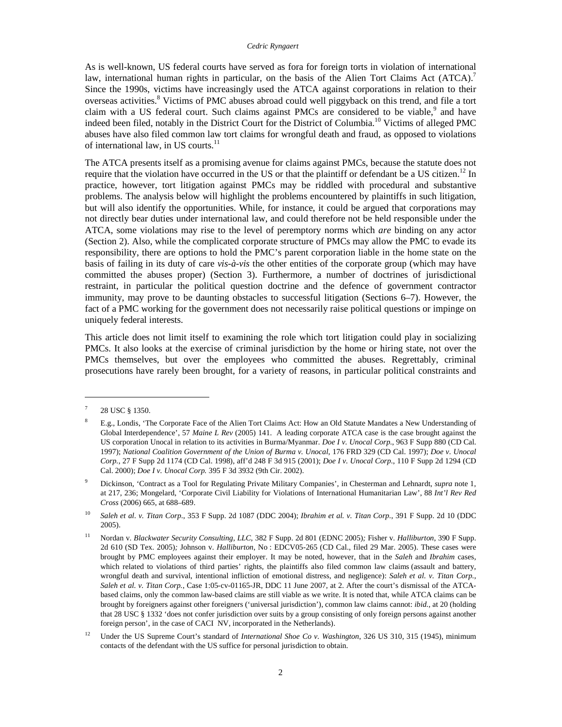As is well-known, US federal courts have served as fora for foreign torts in violation of international law, international human rights in particular, on the basis of the Alien Tort Claims Act (ATCA).<sup>7</sup> Since the 1990s, victims have increasingly used the ATCA against corporations in relation to their overseas activities.<sup>8</sup> Victims of PMC abuses abroad could well piggyback on this trend, and file a tort claim with a US federal court. Such claims against PMCs are considered to be viable,<sup>9</sup> and have indeed been filed, notably in the District Court for the District of Columbia.<sup>10</sup> Victims of alleged PMC abuses have also filed common law tort claims for wrongful death and fraud, as opposed to violations of international law, in US courts.<sup>11</sup>

The ATCA presents itself as a promising avenue for claims against PMCs, because the statute does not require that the violation have occurred in the US or that the plaintiff or defendant be a US citizen.<sup>12</sup> In practice, however, tort litigation against PMCs may be riddled with procedural and substantive problems. The analysis below will highlight the problems encountered by plaintiffs in such litigation, but will also identify the opportunities. While, for instance, it could be argued that corporations may not directly bear duties under international law, and could therefore not be held responsible under the ATCA, some violations may rise to the level of peremptory norms which *are* binding on any actor (Section 2). Also, while the complicated corporate structure of PMCs may allow the PMC to evade its responsibility, there are options to hold the PMC's parent corporation liable in the home state on the basis of failing in its duty of care *vis-à-vis* the other entities of the corporate group (which may have committed the abuses proper) (Section 3). Furthermore, a number of doctrines of jurisdictional restraint, in particular the political question doctrine and the defence of government contractor immunity, may prove to be daunting obstacles to successful litigation (Sections 6–7). However, the fact of a PMC working for the government does not necessarily raise political questions or impinge on uniquely federal interests.

This article does not limit itself to examining the role which tort litigation could play in socializing PMCs. It also looks at the exercise of criminal jurisdiction by the home or hiring state, not over the PMCs themselves, but over the employees who committed the abuses. Regrettably, criminal prosecutions have rarely been brought, for a variety of reasons, in particular political constraints and

<sup>7</sup> 28 USC § 1350.

<sup>8</sup> E.g., Londis, 'The Corporate Face of the Alien Tort Claims Act: How an Old Statute Mandates a New Understanding of Global Interdependence', 57 *Maine L Rev* (2005) 141. A leading corporate ATCA case is the case brought against the US corporation Unocal in relation to its activities in Burma/Myanmar. *Doe I v. Unocal Corp.*, 963 F Supp 880 (CD Cal. 1997); *National Coalition Government of the Union of Burma v. Unocal*, 176 FRD 329 (CD Cal. 1997); *Doe v. Unocal Corp.*, 27 F Supp 2d 1174 (CD Cal. 1998), aff'd 248 F 3d 915 (2001); *Doe I v. Unocal Corp.*, 110 F Supp 2d 1294 (CD Cal. 2000); *Doe I v. Unocal Corp.* 395 F 3d 3932 (9th Cir. 2002).

<sup>9</sup> Dickinson, 'Contract as a Tool for Regulating Private Military Companies', in Chesterman and Lehnardt, *supra* note 1, at 217, 236; Mongelard, 'Corporate Civil Liability for Violations of International Humanitarian Law', 88 *Int'l Rev Red Cross* (2006) 665, at 688–689.

<sup>10</sup> *Saleh et al. v. Titan Corp.*, 353 F Supp. 2d 1087 (DDC 2004); *Ibrahim et al. v. Titan Corp.*, 391 F Supp. 2d 10 (DDC 2005).

<sup>11</sup> Nordan v. *Blackwater Security Consulting, LLC*, 382 F Supp. 2d 801 (EDNC 2005)*;* Fisher v. *Halliburton*, 390 F Supp. 2d 610 (SD Tex. 2005)*;* Johnson v. *Halliburton*, No : EDCV05-265 (CD Cal., filed 29 Mar. 2005). These cases were brought by PMC employees against their employer. It may be noted, however, that in the *Saleh* and *Ibrahim* cases, which related to violations of third parties' rights, the plaintiffs also filed common law claims (assault and battery, wrongful death and survival, intentional infliction of emotional distress, and negligence): *Saleh et al. v. Titan Corp.*, *Saleh et al. v. Titan Corp.*, Case 1:05-cv-01165-JR, DDC 11 June 2007, at 2. After the court's dismissal of the ATCAbased claims, only the common law-based claims are still viable as we write. It is noted that, while ATCA claims can be brought by foreigners against other foreigners ('universal jurisdiction'), common law claims cannot: *ibid.*, at 20 (holding that 28 USC § 1332 'does not confer jurisdiction over suits by a group consisting of only foreign persons against another foreign person', in the case of CACI NV, incorporated in the Netherlands).

<sup>12</sup> Under the US Supreme Court's standard of *International Shoe Co v. Washington*, 326 US 310, 315 (1945), minimum contacts of the defendant with the US suffice for personal jurisdiction to obtain.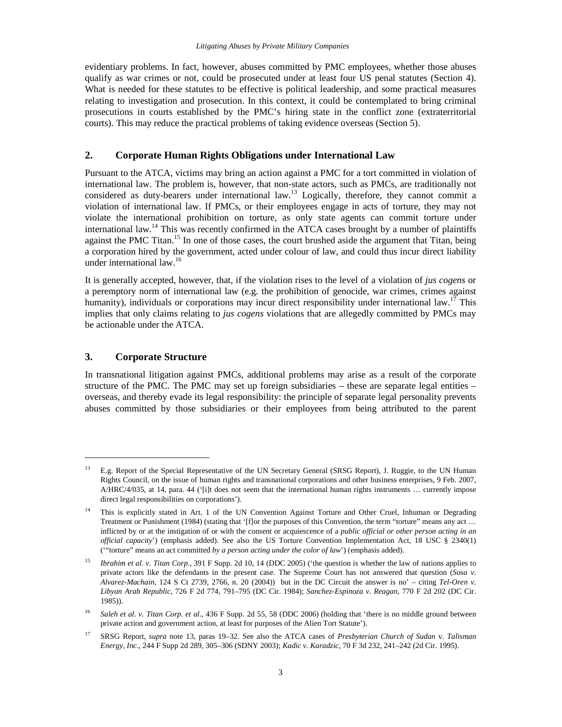evidentiary problems. In fact, however, abuses committed by PMC employees, whether those abuses qualify as war crimes or not, could be prosecuted under at least four US penal statutes (Section 4). What is needed for these statutes to be effective is political leadership, and some practical measures relating to investigation and prosecution. In this context, it could be contemplated to bring criminal prosecutions in courts established by the PMC's hiring state in the conflict zone (extraterritorial courts). This may reduce the practical problems of taking evidence overseas (Section 5).

#### **2. Corporate Human Rights Obligations under International Law**

Pursuant to the ATCA, victims may bring an action against a PMC for a tort committed in violation of international law. The problem is, however, that non-state actors, such as PMCs, are traditionally not considered as duty-bearers under international law.<sup>13</sup> Logically, therefore, they cannot commit a violation of international law. If PMCs, or their employees engage in acts of torture, they may not violate the international prohibition on torture, as only state agents can commit torture under international law.<sup>14</sup> This was recently confirmed in the ATCA cases brought by a number of plaintiffs against the PMC Titan.<sup>15</sup> In one of those cases, the court brushed aside the argument that Titan, being a corporation hired by the government, acted under colour of law, and could thus incur direct liability under international law.<sup>16</sup>

It is generally accepted, however, that, if the violation rises to the level of a violation of *jus cogens* or a peremptory norm of international law (e.g. the prohibition of genocide, war crimes, crimes against humanity), individuals or corporations may incur direct responsibility under international law.<sup>17</sup> This implies that only claims relating to *jus cogens* violations that are allegedly committed by PMCs may be actionable under the ATCA.

#### **3. Corporate Structure**

 $\overline{a}$ 

In transnational litigation against PMCs, additional problems may arise as a result of the corporate structure of the PMC. The PMC may set up foreign subsidiaries – these are separate legal entities – overseas, and thereby evade its legal responsibility: the principle of separate legal personality prevents abuses committed by those subsidiaries or their employees from being attributed to the parent

<sup>&</sup>lt;sup>13</sup> E.g. Report of the Special Representative of the UN Secretary General (SRSG Report), J. Ruggie, to the UN Human Rights Council, on the issue of human rights and transnational corporations and other business enterprises, 9 Feb. 2007, A/HRC/4/035, at 14, para. 44 ('[i]t does not seem that the international human rights instruments ... currently impose direct legal responsibilities on corporations').

<sup>&</sup>lt;sup>14</sup> This is explicitly stated in Art. 1 of the UN Convention Against Torture and Other Cruel, Inhuman or Degrading Treatment or Punishment (1984) (stating that '[f]or the purposes of this Convention, the term "torture" means any act ... inflicted by or at the instigation of or with the consent or acquiescence of a *public official or other person acting in an official capacity*') (emphasis added). See also the US Torture Convention Implementation Act, 18 USC § 2340(1) ('"torture" means an act committed *by a person acting under the color of law*') (emphasis added).

<sup>15</sup> *Ibrahim et al. v. Titan Corp.*, 391 F Supp. 2d 10, 14 (DDC 2005) ('the question is whether the law of nations applies to private actors like the defendants in the present case. The Supreme Court has not answered that question (*Sosa v. Alvarez-Machain*, 124 S Ct 2739, 2766, n. 20 (2004)) but in the DC Circuit the answer is no' – citing *Tel-Oren v. Libyan Arab Republic*, 726 F 2d 774, 791–795 (DC Cir. 1984); *Sanchez-Espinoza v. Reagan*, 770 F 2d 202 (DC Cir. 1985)).

<sup>16</sup> *Saleh et al*. *v. Titan Corp. et al.*, 436 F Supp. 2d 55, 58 (DDC 2006) (holding that 'there is no middle ground between private action and government action, at least for purposes of the Alien Tort Statute').

<sup>17</sup> SRSG Report, *supra* note 13, paras 19–32. See also the ATCA cases of *Presbyterian Church of Sudan* v. *Talisman Energy, Inc.*, 244 F Supp 2d 289, 305–306 (SDNY 2003); *Kadic v. Karadzic*, 70 F 3d 232, 241–242 (2d Cir. 1995).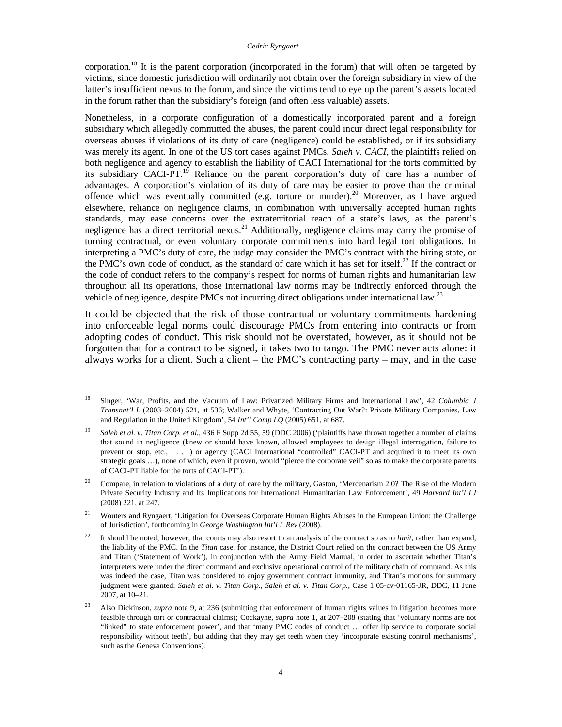corporation.<sup>18</sup> It is the parent corporation (incorporated in the forum) that will often be targeted by victims, since domestic jurisdiction will ordinarily not obtain over the foreign subsidiary in view of the latter's insufficient nexus to the forum, and since the victims tend to eye up the parent's assets located in the forum rather than the subsidiary's foreign (and often less valuable) assets.

Nonetheless, in a corporate configuration of a domestically incorporated parent and a foreign subsidiary which allegedly committed the abuses, the parent could incur direct legal responsibility for overseas abuses if violations of its duty of care (negligence) could be established, or if its subsidiary was merely its agent. In one of the US tort cases against PMCs, *Saleh v. CACI*, the plaintiffs relied on both negligence and agency to establish the liability of CACI International for the torts committed by its subsidiary CACI-PT.<sup>19</sup> Reliance on the parent corporation's duty of care has a number of advantages. A corporation's violation of its duty of care may be easier to prove than the criminal offence which was eventually committed (e.g. torture or murder).<sup>20</sup> Moreover, as I have argued elsewhere, reliance on negligence claims, in combination with universally accepted human rights standards, may ease concerns over the extraterritorial reach of a state's laws, as the parent's negligence has a direct territorial nexus.<sup>21</sup> Additionally, negligence claims may carry the promise of turning contractual, or even voluntary corporate commitments into hard legal tort obligations. In interpreting a PMC's duty of care, the judge may consider the PMC's contract with the hiring state, or the PMC's own code of conduct, as the standard of care which it has set for itself.<sup>22</sup> If the contract or the code of conduct refers to the company's respect for norms of human rights and humanitarian law throughout all its operations, those international law norms may be indirectly enforced through the vehicle of negligence, despite PMCs not incurring direct obligations under international law.<sup>23</sup>

It could be objected that the risk of those contractual or voluntary commitments hardening into enforceable legal norms could discourage PMCs from entering into contracts or from adopting codes of conduct. This risk should not be overstated, however, as it should not be forgotten that for a contract to be signed, it takes two to tango. The PMC never acts alone: it always works for a client. Such a client – the PMC's contracting party – may, and in the case

<sup>18</sup> Singer, 'War, Profits, and the Vacuum of Law: Privatized Military Firms and International Law', 42 *Columbia J Transnat'l L* (2003–2004) 521, at 536; Walker and Whyte, 'Contracting Out War?: Private Military Companies, Law and Regulation in the United Kingdom', 54 *Int'l Comp LQ* (2005) 651, at 687.

<sup>19</sup> *Saleh et al. v*. *Titan Corp. et al.*, 436 F Supp 2d 55, 59 (DDC 2006) ('plaintiffs have thrown together a number of claims that sound in negligence (knew or should have known, allowed employees to design illegal interrogation, failure to prevent or stop, etc., . . . ) or agency (CACI International "controlled" CACI-PT and acquired it to meet its own strategic goals …), none of which, even if proven, would "pierce the corporate veil" so as to make the corporate parents of CACI-PT liable for the torts of CACI-PT').

<sup>&</sup>lt;sup>20</sup> Compare, in relation to violations of a duty of care by the military, Gaston, 'Mercenarism 2.0? The Rise of the Modern Private Security Industry and Its Implications for International Humanitarian Law Enforcement', 49 *Harvard Int'l LJ* (2008) 221, at 247.

<sup>&</sup>lt;sup>21</sup> Wouters and Ryngaert, 'Litigation for Overseas Corporate Human Rights Abuses in the European Union: the Challenge of Jurisdiction', forthcoming in *George Washington Int'l L Rev* (2008).

<sup>22</sup> It should be noted, however, that courts may also resort to an analysis of the contract so as to *limit*, rather than expand, the liability of the PMC. In the *Titan* case, for instance, the District Court relied on the contract between the US Army and Titan ('Statement of Work'), in conjunction with the Army Field Manual, in order to ascertain whether Titan's interpreters were under the direct command and exclusive operational control of the military chain of command. As this was indeed the case, Titan was considered to enjoy government contract immunity, and Titan's motions for summary judgment were granted: *Saleh et al. v. Titan Corp.*, *Saleh et al. v. Titan Corp.*, Case 1:05-cv-01165-JR, DDC, 11 June 2007, at 10–21.

<sup>&</sup>lt;sup>23</sup> Also Dickinson, *supra* note 9, at 236 (submitting that enforcement of human rights values in litigation becomes more feasible through tort or contractual claims); Cockayne, *supra* note 1, at 207–208 (stating that 'voluntary norms are not "linked" to state enforcement power', and that 'many PMC codes of conduct … offer lip service to corporate social responsibility without teeth', but adding that they may get teeth when they 'incorporate existing control mechanisms', such as the Geneva Conventions).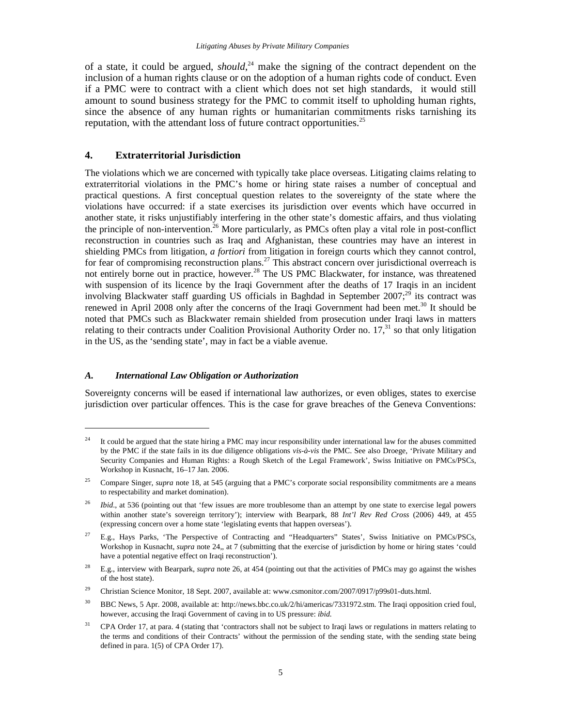of a state, it could be argued, *should*, <sup>24</sup> make the signing of the contract dependent on the inclusion of a human rights clause or on the adoption of a human rights code of conduct. Even if a PMC were to contract with a client which does not set high standards, it would still amount to sound business strategy for the PMC to commit itself to upholding human rights, since the absence of any human rights or humanitarian commitments risks tarnishing its reputation, with the attendant loss of future contract opportunities.<sup>25</sup>

#### **4. Extraterritorial Jurisdiction**

The violations which we are concerned with typically take place overseas. Litigating claims relating to extraterritorial violations in the PMC's home or hiring state raises a number of conceptual and practical questions. A first conceptual question relates to the sovereignty of the state where the violations have occurred: if a state exercises its jurisdiction over events which have occurred in another state, it risks unjustifiably interfering in the other state's domestic affairs, and thus violating the principle of non-intervention.<sup>26</sup> More particularly, as PMCs often play a vital role in post-conflict reconstruction in countries such as Iraq and Afghanistan, these countries may have an interest in shielding PMCs from litigation, *a fortiori* from litigation in foreign courts which they cannot control, for fear of compromising reconstruction plans.<sup>27</sup> This abstract concern over jurisdictional overreach is not entirely borne out in practice, however.<sup>28</sup> The US PMC Blackwater, for instance, was threatened with suspension of its licence by the Iraqi Government after the deaths of 17 Iraqis in an incident involving Blackwater staff guarding US officials in Baghdad in September  $2007$ ;<sup>29</sup> its contract was renewed in April 2008 only after the concerns of the Iraqi Government had been met.<sup>30</sup> It should be noted that PMCs such as Blackwater remain shielded from prosecution under Iraqi laws in matters relating to their contracts under Coalition Provisional Authority Order no.  $17<sup>31</sup>$  so that only litigation in the US, as the 'sending state', may in fact be a viable avenue.

#### *A. International Law Obligation or Authorization*

 $\overline{a}$ 

Sovereignty concerns will be eased if international law authorizes, or even obliges, states to exercise jurisdiction over particular offences. This is the case for grave breaches of the Geneva Conventions:

<sup>&</sup>lt;sup>24</sup> It could be argued that the state hiring a PMC may incur responsibility under international law for the abuses committed by the PMC if the state fails in its due diligence obligations *vis-à-vis* the PMC. See also Droege, 'Private Military and Security Companies and Human Rights: a Rough Sketch of the Legal Framework', Swiss Initiative on PMCs/PSCs, Workshop in Kusnacht, 16–17 Jan. 2006.

<sup>&</sup>lt;sup>25</sup> Compare Singer, *supra* note 18, at 545 (arguing that a PMC's corporate social responsibility commitments are a means to respectability and market domination).

<sup>26</sup> *Ibid*., at 536 (pointing out that 'few issues are more troublesome than an attempt by one state to exercise legal powers within another state's sovereign territory'); interview with Bearpark, 88 *Int'l Rev Red Cross* (2006) 449, at 455 (expressing concern over a home state 'legislating events that happen overseas').

<sup>&</sup>lt;sup>27</sup> E.g., Hays Parks, 'The Perspective of Contracting and "Headquarters" States', Swiss Initiative on PMCs/PSCs, Workshop in Kusnacht, *supra* note 24,, at 7 (submitting that the exercise of jurisdiction by home or hiring states 'could have a potential negative effect on Iraqi reconstruction').

<sup>28</sup> E.g., interview with Bearpark, *supra* note 26, at 454 (pointing out that the activities of PMCs may go against the wishes of the host state).

<sup>&</sup>lt;sup>29</sup> Christian Science Monitor, 18 Sept. 2007, available at: www.csmonitor.com/2007/0917/p99s01-duts.html.

<sup>30</sup> BBC News, 5 Apr. 2008, available at: http://news.bbc.co.uk/2/hi/americas/7331972.stm. The Iraqi opposition cried foul, however, accusing the Iraqi Government of caving in to US pressure: *ibid.* 

<sup>&</sup>lt;sup>31</sup> CPA Order 17, at para. 4 (stating that 'contractors shall not be subject to Iraqi laws or regulations in matters relating to the terms and conditions of their Contracts' without the permission of the sending state, with the sending state being defined in para. 1(5) of CPA Order 17).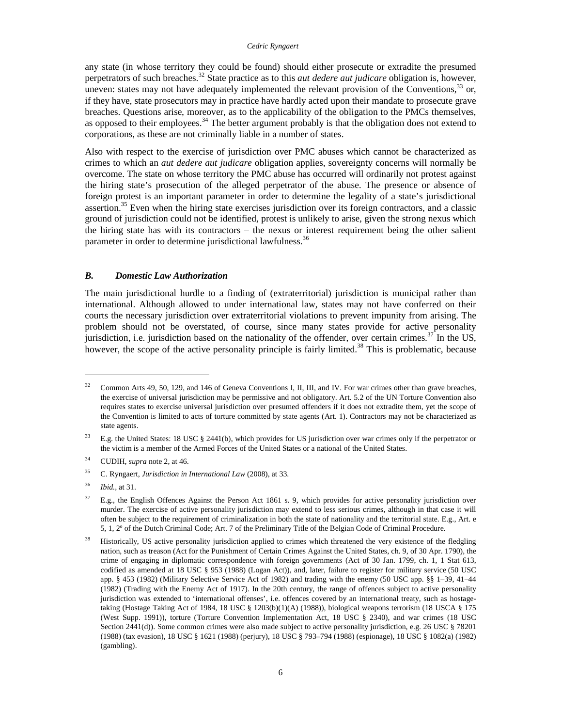any state (in whose territory they could be found) should either prosecute or extradite the presumed perpetrators of such breaches.<sup>32</sup> State practice as to this *aut dedere aut judicare* obligation is, however, uneven: states may not have adequately implemented the relevant provision of the Conventions,  $33$  or, if they have, state prosecutors may in practice have hardly acted upon their mandate to prosecute grave breaches. Questions arise, moreover, as to the applicability of the obligation to the PMCs themselves, as opposed to their employees.<sup>34</sup> The better argument probably is that the obligation does not extend to corporations, as these are not criminally liable in a number of states.

Also with respect to the exercise of jurisdiction over PMC abuses which cannot be characterized as crimes to which an *aut dedere aut judicare* obligation applies, sovereignty concerns will normally be overcome. The state on whose territory the PMC abuse has occurred will ordinarily not protest against the hiring state's prosecution of the alleged perpetrator of the abuse. The presence or absence of foreign protest is an important parameter in order to determine the legality of a state's jurisdictional assertion.<sup>35</sup> Even when the hiring state exercises jurisdiction over its foreign contractors, and a classic ground of jurisdiction could not be identified, protest is unlikely to arise, given the strong nexus which the hiring state has with its contractors – the nexus or interest requirement being the other salient parameter in order to determine jurisdictional lawfulness.<sup>36</sup>

#### *B. Domestic Law Authorization*

The main jurisdictional hurdle to a finding of (extraterritorial) jurisdiction is municipal rather than international. Although allowed to under international law, states may not have conferred on their courts the necessary jurisdiction over extraterritorial violations to prevent impunity from arising. The problem should not be overstated, of course, since many states provide for active personality jurisdiction, i.e. jurisdiction based on the nationality of the offender, over certain crimes.<sup>37</sup> In the US, however, the scope of the active personality principle is fairly limited.<sup>38</sup> This is problematic, because

<sup>&</sup>lt;sup>32</sup> Common Arts 49, 50, 129, and 146 of Geneva Conventions I, II, III, and IV. For war crimes other than grave breaches, the exercise of universal jurisdiction may be permissive and not obligatory. Art. 5.2 of the UN Torture Convention also requires states to exercise universal jurisdiction over presumed offenders if it does not extradite them, yet the scope of the Convention is limited to acts of torture committed by state agents (Art. 1). Contractors may not be characterized as state agents.

<sup>&</sup>lt;sup>33</sup> E.g. the United States: 18 USC § 2441(b), which provides for US jurisdiction over war crimes only if the perpetrator or the victim is a member of the Armed Forces of the United States or a national of the United States.

<sup>34</sup> CUDIH, *supra* note 2, at 46.

<sup>35</sup> C. Ryngaert, *Jurisdiction in International Law* (2008), at 33.

<sup>36</sup> *Ibid.*, at 31.

<sup>&</sup>lt;sup>37</sup> E.g., the English Offences Against the Person Act 1861 s. 9, which provides for active personality jurisdiction over murder. The exercise of active personality jurisdiction may extend to less serious crimes, although in that case it will often be subject to the requirement of criminalization in both the state of nationality and the territorial state. E.g., Art. e 5, 1, 2º of the Dutch Criminal Code; Art. 7 of the Preliminary Title of the Belgian Code of Criminal Procedure.

<sup>&</sup>lt;sup>38</sup> Historically, US active personality jurisdiction applied to crimes which threatened the very existence of the fledgling nation, such as treason (Act for the Punishment of Certain Crimes Against the United States, ch. 9, of 30 Apr. 1790), the crime of engaging in diplomatic correspondence with foreign governments (Act of 30 Jan. 1799, ch. 1, 1 Stat 613, codified as amended at 18 USC § 953 (1988) (Logan Act)), and, later, failure to register for military service (50 USC app. § 453 (1982) (Military Selective Service Act of 1982) and trading with the enemy (50 USC app. §§ 1–39, 41–44 (1982) (Trading with the Enemy Act of 1917). In the 20th century, the range of offences subject to active personality jurisdiction was extended to 'international offenses', i.e. offences covered by an international treaty, such as hostagetaking (Hostage Taking Act of 1984, 18 USC § 1203(b)(1)(A) (1988)), biological weapons terrorism (18 USCA § 175 (West Supp. 1991)), torture (Torture Convention Implementation Act, 18 USC § 2340), and war crimes (18 USC Section 2441(d)). Some common crimes were also made subject to active personality jurisdiction, e.g. 26 USC § 78201 (1988) (tax evasion), 18 USC § 1621 (1988) (perjury), 18 USC § 793–794 (1988) (espionage), 18 USC § 1082(a) (1982) (gambling).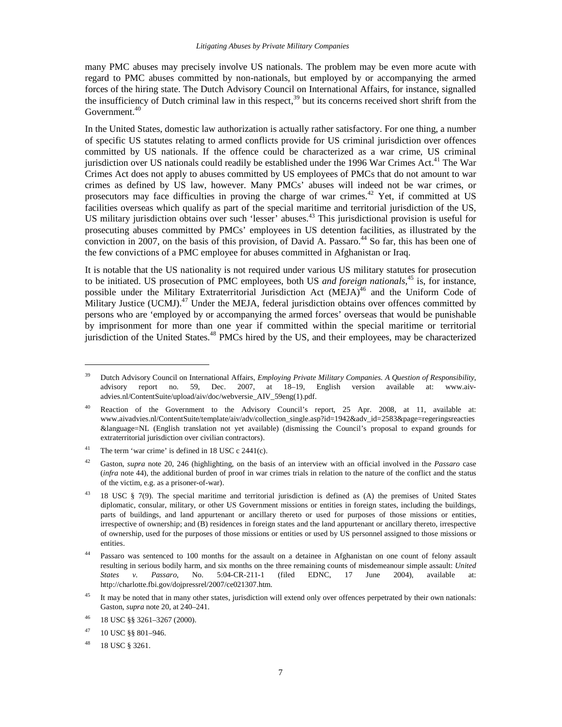many PMC abuses may precisely involve US nationals. The problem may be even more acute with regard to PMC abuses committed by non-nationals, but employed by or accompanying the armed forces of the hiring state. The Dutch Advisory Council on International Affairs, for instance, signalled the insufficiency of Dutch criminal law in this respect, $39$  but its concerns received short shrift from the Government.<sup>40</sup>

In the United States, domestic law authorization is actually rather satisfactory. For one thing, a number of specific US statutes relating to armed conflicts provide for US criminal jurisdiction over offences committed by US nationals. If the offence could be characterized as a war crime, US criminal jurisdiction over US nationals could readily be established under the 1996 War Crimes Act.<sup>41</sup> The War Crimes Act does not apply to abuses committed by US employees of PMCs that do not amount to war crimes as defined by US law, however. Many PMCs' abuses will indeed not be war crimes, or prosecutors may face difficulties in proving the charge of war crimes.<sup>42</sup> Yet, if committed at US facilities overseas which qualify as part of the special maritime and territorial jurisdiction of the US, US military jurisdiction obtains over such 'lesser' abuses.<sup>43</sup> This jurisdictional provision is useful for prosecuting abuses committed by PMCs' employees in US detention facilities, as illustrated by the conviction in 2007, on the basis of this provision, of David A. Passaro.<sup>44</sup> So far, this has been one of the few convictions of a PMC employee for abuses committed in Afghanistan or Iraq.

It is notable that the US nationality is not required under various US military statutes for prosecution to be initiated. US prosecution of PMC employees, both US *and foreign nationals*, <sup>45</sup> is, for instance, possible under the Military Extraterritorial Jurisdiction Act (MEJA)<sup>46</sup> and the Uniform Code of Military Justice (UCMJ).<sup>47</sup> Under the MEJA, federal jurisdiction obtains over offences committed by persons who are 'employed by or accompanying the armed forces' overseas that would be punishable by imprisonment for more than one year if committed within the special maritime or territorial jurisdiction of the United States.<sup>48</sup> PMCs hired by the US, and their employees, may be characterized

<sup>39</sup> Dutch Advisory Council on International Affairs, *Employing Private Military Companies. A Question of Responsibility*, advisory report no. 59, Dec. 2007, at 18–19, English version available at: www.aivadvies.nl/ContentSuite/upload/aiv/doc/webversie\_AIV\_59eng(1).pdf.

<sup>40</sup> Reaction of the Government to the Advisory Council's report, 25 Apr. 2008, at 11, available at: www.aivadvies.nl/ContentSuite/template/aiv/adv/collection\_single.asp?id=1942&adv\_id=2583&page=regeringsreacties &language=NL (English translation not yet available) (dismissing the Council's proposal to expand grounds for extraterritorial jurisdiction over civilian contractors).

<sup>&</sup>lt;sup>41</sup> The term 'war crime' is defined in 18 USC c  $2441(c)$ .

<sup>42</sup> Gaston, *supra* note 20, 246 (highlighting, on the basis of an interview with an official involved in the *Passaro* case (*infra* note 44), the additional burden of proof in war crimes trials in relation to the nature of the conflict and the status of the victim, e.g. as a prisoner-of-war).

<sup>43</sup> 18 USC § 7(9). The special maritime and territorial jurisdiction is defined as (A) the premises of United States diplomatic, consular, military, or other US Government missions or entities in foreign states, including the buildings, parts of buildings, and land appurtenant or ancillary thereto or used for purposes of those missions or entities, irrespective of ownership; and (B) residences in foreign states and the land appurtenant or ancillary thereto, irrespective of ownership, used for the purposes of those missions or entities or used by US personnel assigned to those missions or entities.

<sup>44</sup> Passaro was sentenced to 100 months for the assault on a detainee in Afghanistan on one count of felony assault resulting in serious bodily harm, and six months on the three remaining counts of misdemeanour simple assault: *United States v. Passaro*, No. 5:04-CR-211-1 (filed EDNC, 17 June 2004), available at: http://charlotte.fbi.gov/dojpressrel/2007/ce021307.htm.

<sup>&</sup>lt;sup>45</sup> It may be noted that in many other states, jurisdiction will extend only over offences perpetrated by their own nationals: Gaston, *supra* note 20, at 240–241.

<sup>46</sup> 18 USC §§ 3261–3267 (2000).

<sup>47</sup> 10 USC §§ 801–946.

<sup>48</sup> 18 USC § 3261.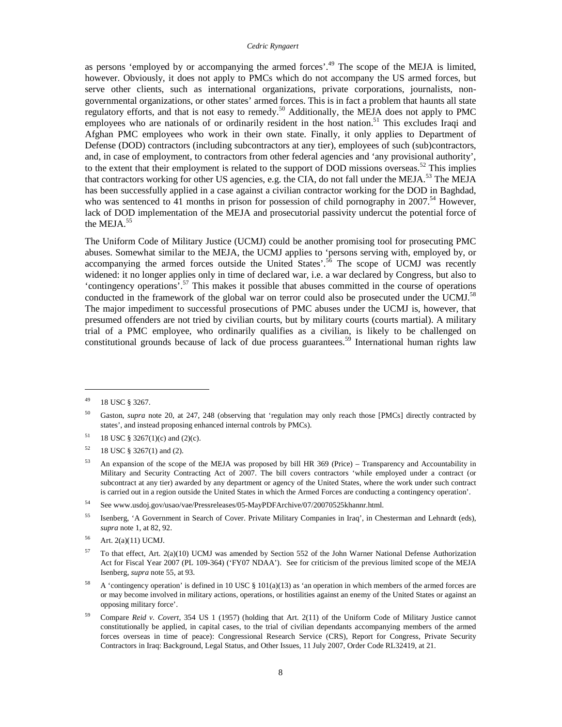as persons 'employed by or accompanying the armed forces'.<sup>49</sup> The scope of the MEJA is limited, however. Obviously, it does not apply to PMCs which do not accompany the US armed forces, but serve other clients, such as international organizations, private corporations, journalists, nongovernmental organizations, or other states' armed forces. This is in fact a problem that haunts all state regulatory efforts, and that is not easy to remedy.<sup>50</sup> Additionally, the MEJA does not apply to PMC employees who are nationals of or ordinarily resident in the host nation.<sup>51</sup> This excludes Iraqi and Afghan PMC employees who work in their own state. Finally, it only applies to Department of Defense (DOD) contractors (including subcontractors at any tier), employees of such (sub)contractors, and, in case of employment, to contractors from other federal agencies and 'any provisional authority', to the extent that their employment is related to the support of DOD missions overseas.<sup>52</sup> This implies that contractors working for other US agencies, e.g. the CIA, do not fall under the MEJA.<sup>53</sup> The MEJA has been successfully applied in a case against a civilian contractor working for the DOD in Baghdad, who was sentenced to 41 months in prison for possession of child pornography in  $2007$ .<sup>54</sup> However, lack of DOD implementation of the MEJA and prosecutorial passivity undercut the potential force of the MEJA. $55$ 

The Uniform Code of Military Justice (UCMJ) could be another promising tool for prosecuting PMC abuses. Somewhat similar to the MEJA, the UCMJ applies to 'persons serving with, employed by, or accompanying the armed forces outside the United States'.<sup>56</sup> The scope of UCMJ was recently widened: it no longer applies only in time of declared war, i.e. a war declared by Congress, but also to 'contingency operations'.<sup>57</sup> This makes it possible that abuses committed in the course of operations conducted in the framework of the global war on terror could also be prosecuted under the UCMJ.<sup>58</sup> The major impediment to successful prosecutions of PMC abuses under the UCMJ is, however, that presumed offenders are not tried by civilian courts, but by military courts (courts martial). A military trial of a PMC employee, who ordinarily qualifies as a civilian, is likely to be challenged on constitutional grounds because of lack of due process guarantees.<sup>59</sup> International human rights law

- $51$  18 USC § 3267(1)(c) and (2)(c).
- $52$  18 USC § 3267(1) and (2).

- <sup>54</sup> See www.usdoj.gov/usao/vae/Pressreleases/05-MayPDFArchive/07/20070525khannr.html.
- <sup>55</sup> Isenberg, 'A Government in Search of Cover. Private Military Companies in Iraq', in Chesterman and Lehnardt (eds), *supra* note 1, at 82, 92.
- <sup>56</sup> Art. 2(a)(11) UCMJ.
- $57$  To that effect, Art. 2(a)(10) UCMJ was amended by Section 552 of the John Warner National Defense Authorization Act for Fiscal Year 2007 (PL 109-364) ('FY07 NDAA'). See for criticism of the previous limited scope of the MEJA Isenberg, *supra* note 55, at 93.
- <sup>58</sup> A 'contingency operation' is defined in 10 USC § 101(a)(13) as 'an operation in which members of the armed forces are or may become involved in military actions, operations, or hostilities against an enemy of the United States or against an opposing military force'.
- <sup>59</sup> Compare *Reid v. Covert*, 354 US 1 (1957) (holding that Art. 2(11) of the Uniform Code of Military Justice cannot constitutionally be applied, in capital cases, to the trial of civilian dependants accompanying members of the armed forces overseas in time of peace): Congressional Research Service (CRS), Report for Congress, Private Security Contractors in Iraq: Background, Legal Status, and Other Issues, 11 July 2007, Order Code RL32419, at 21.

<sup>49</sup> 18 USC § 3267.

<sup>50</sup> Gaston, *supra* note 20, at 247, 248 (observing that 'regulation may only reach those [PMCs] directly contracted by states', and instead proposing enhanced internal controls by PMCs).

<sup>53</sup> An expansion of the scope of the MEJA was proposed by bill HR 369 (Price) – Transparency and Accountability in Military and Security Contracting Act of 2007. The bill covers contractors 'while employed under a contract (or subcontract at any tier) awarded by any department or agency of the United States, where the work under such contract is carried out in a region outside the United States in which the Armed Forces are conducting a contingency operation'.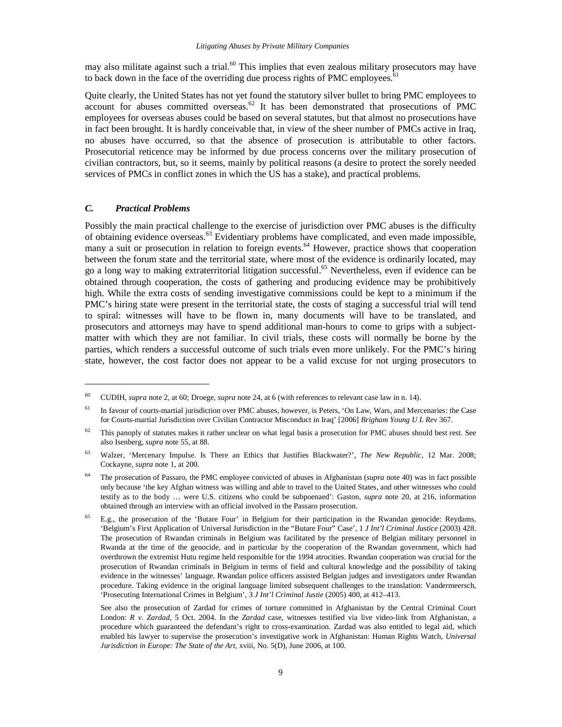may also militate against such a trial.<sup>60</sup> This implies that even zealous military prosecutors may have to back down in the face of the overriding due process rights of PMC employees.<sup>61</sup>

Quite clearly, the United States has not yet found the statutory silver bullet to bring PMC employees to account for abuses committed overseas.<sup>62</sup> It has been demonstrated that prosecutions of PMC employees for overseas abuses could be based on several statutes, but that almost no prosecutions have in fact been brought. It is hardly conceivable that, in view of the sheer number of PMCs active in Iraq, no abuses have occurred, so that the absence of prosecution is attributable to other factors. Prosecutorial reticence may be informed by due process concerns over the military prosecution of civilian contractors, but, so it seems, mainly by political reasons (a desire to protect the sorely needed services of PMCs in conflict zones in which the US has a stake), and practical problems.

### *C. Practical Problems*

 $\overline{a}$ 

Possibly the main practical challenge to the exercise of jurisdiction over PMC abuses is the difficulty of obtaining evidence overseas.<sup>63</sup> Evidentiary problems have complicated, and even made impossible, many a suit or prosecution in relation to foreign events.<sup>64</sup> However, practice shows that cooperation between the forum state and the territorial state, where most of the evidence is ordinarily located, may go a long way to making extraterritorial litigation successful.<sup>65</sup> Nevertheless, even if evidence can be obtained through cooperation, the costs of gathering and producing evidence may be prohibitively high. While the extra costs of sending investigative commissions could be kept to a minimum if the PMC's hiring state were present in the territorial state, the costs of staging a successful trial will tend to spiral: witnesses will have to be flown in, many documents will have to be translated, and prosecutors and attorneys may have to spend additional man-hours to come to grips with a subjectmatter with which they are not familiar. In civil trials, these costs will normally be borne by the parties, which renders a successful outcome of such trials even more unlikely. For the PMC's hiring state, however, the cost factor does not appear to be a valid excuse for not urging prosecutors to

<sup>60</sup> CUDIH, *supra* note 2, at 60; Droege, *supra* note 24, at 6 (with references to relevant case law in n. 14).

 $61$  In favour of courts-martial jurisdiction over PMC abuses, however, is Peters, 'On Law, Wars, and Mercenaries: the Case for Courts-martial Jurisdiction over Civilian Contractor Misconduct in Iraq' [2006] *Brigham Young U L Rev* 367.

 $62$  This panoply of statutes makes it rather unclear on what legal basis a prosecution for PMC abuses should best rest. See also Isenberg, *supra* note 55, at 88.

<sup>63</sup> Walzer, 'Mercenary Impulse. Is There an Ethics that Justifies Blackwater?', *The New Republic*, 12 Mar. 2008; Cockayne, *supra* note 1, at 200.

<sup>64</sup> The prosecution of Passaro, the PMC employee convicted of abuses in Afghanistan (*supra* note 40) was in fact possible only because 'the key Afghan witness was willing and able to travel to the United States, and other witnesses who could testify as to the body … were U.S. citizens who could be subpoenaed': Gaston, *supra* note 20, at 216, information obtained through an interview with an official involved in the Passaro prosecution.

<sup>65</sup> E.g., the prosecution of the 'Butare Four' in Belgium for their participation in the Rwandan genocide: Reydams, 'Belgium's First Application of Universal Jurisdiction in the "Butare Four" Case', 1 *J Int'l Criminal Justice* (2003) 428. The prosecution of Rwandan criminals in Belgium was facilitated by the presence of Belgian military personnel in Rwanda at the time of the genocide, and in particular by the cooperation of the Rwandan government, which had overthrown the extremist Hutu regime held responsible for the 1994 atrocities. Rwandan cooperation was crucial for the prosecution of Rwandan criminals in Belgium in terms of field and cultural knowledge and the possibility of taking evidence in the witnesses' language. Rwandan police officers assisted Belgian judges and investigators under Rwandan procedure. Taking evidence in the original language limited subsequent challenges to the translation: Vandermeersch, 'Prosecuting International Crimes in Belgium', 3 *J Int'l Criminal Justie* (2005) 400, at 412–413.

See also the prosecution of Zardad for crimes of torture committed in Afghanistan by the Central Criminal Court London: *R v*. *Zardad*, 5 Oct. 2004. In the *Zardad* case, witnesses testified via live video-link from Afghanistan, a procedure which guaranteed the defendant's right to cross-examination. Zardad was also entitled to legal aid, which enabled his lawyer to supervise the prosecution's investigative work in Afghanistan: Human Rights Watch, *Universal Jurisdiction in Europe: The State of the Art*, xviii, No. 5(D), June 2006, at 100.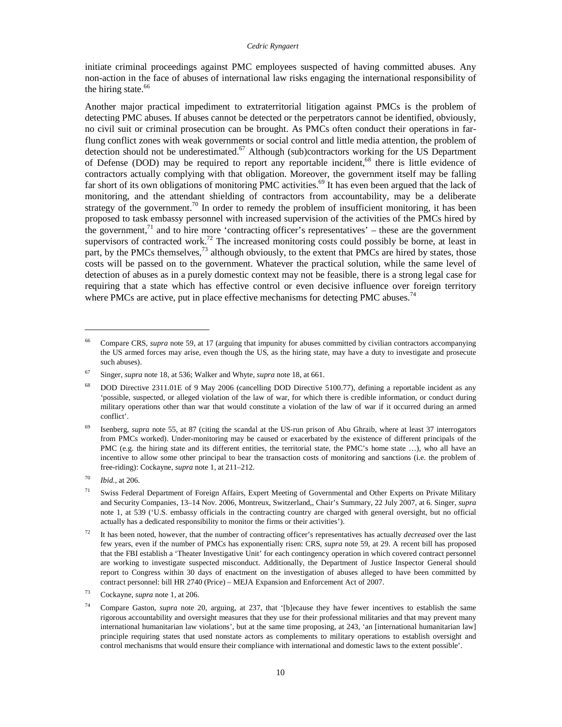initiate criminal proceedings against PMC employees suspected of having committed abuses. Any non-action in the face of abuses of international law risks engaging the international responsibility of the hiring state. $66$ 

Another major practical impediment to extraterritorial litigation against PMCs is the problem of detecting PMC abuses. If abuses cannot be detected or the perpetrators cannot be identified, obviously, no civil suit or criminal prosecution can be brought. As PMCs often conduct their operations in farflung conflict zones with weak governments or social control and little media attention, the problem of detection should not be underestimated.<sup>67</sup> Although (sub)contractors working for the US Department of Defense (DOD) may be required to report any reportable incident,<sup>68</sup> there is little evidence of contractors actually complying with that obligation. Moreover, the government itself may be falling far short of its own obligations of monitoring PMC activities.<sup>69</sup> It has even been argued that the lack of monitoring, and the attendant shielding of contractors from accountability, may be a deliberate strategy of the government.<sup>70</sup> In order to remedy the problem of insufficient monitoring, it has been proposed to task embassy personnel with increased supervision of the activities of the PMCs hired by the government, $\frac{71}{1}$  and to hire more 'contracting officer's representatives' – these are the government supervisors of contracted work.<sup>72</sup> The increased monitoring costs could possibly be borne, at least in part, by the PMCs themselves,<sup>73</sup> although obviously, to the extent that PMCs are hired by states, those costs will be passed on to the government. Whatever the practical solution, while the same level of detection of abuses as in a purely domestic context may not be feasible, there is a strong legal case for requiring that a state which has effective control or even decisive influence over foreign territory where PMCs are active, put in place effective mechanisms for detecting PMC abuses.<sup>74</sup>

<sup>&</sup>lt;sup>66</sup> Compare CRS, *supra* note 59, at 17 (arguing that impunity for abuses committed by civilian contractors accompanying the US armed forces may arise, even though the US, as the hiring state, may have a duty to investigate and prosecute such abuses).

<sup>67</sup> Singer, *supra* note 18, at 536; Walker and Whyte, *supra* note 18, at 661.

DOD Directive 2311.01E of 9 May 2006 (cancelling DOD Directive 5100.77), defining a reportable incident as any 'possible, suspected, or alleged violation of the law of war, for which there is credible information, or conduct during military operations other than war that would constitute a violation of the law of war if it occurred during an armed conflict'.

<sup>69</sup> Isenberg, *supra* note 55, at 87 (citing the scandal at the US-run prison of Abu Ghraib, where at least 37 interrogators from PMCs worked). Under-monitoring may be caused or exacerbated by the existence of different principals of the PMC (e.g. the hiring state and its different entities, the territorial state, the PMC's home state ...), who all have an incentive to allow some other principal to bear the transaction costs of monitoring and sanctions (i.e. the problem of free-riding): Cockayne, *supra* note 1, at 211–212.

<sup>70</sup> *Ibid.,* at 206.

<sup>&</sup>lt;sup>71</sup> Swiss Federal Department of Foreign Affairs, Expert Meeting of Governmental and Other Experts on Private Military and Security Companies, 13–14 Nov. 2006, Montreux, Switzerland,, Chair's Summary, 22 July 2007, at 6. Singer, *supra* note 1, at 539 ('U.S. embassy officials in the contracting country are charged with general oversight, but no official actually has a dedicated responsibility to monitor the firms or their activities').

<sup>72</sup> It has been noted, however, that the number of contracting officer's representatives has actually *decreased* over the last few years, even if the number of PMCs has exponentially risen: CRS, *supra* note 59, at 29. A recent bill has proposed that the FBI establish a 'Theater Investigative Unit' for each contingency operation in which covered contract personnel are working to investigate suspected misconduct. Additionally, the Department of Justice Inspector General should report to Congress within 30 days of enactment on the investigation of abuses alleged to have been committed by contract personnel: bill HR 2740 (Price) – MEJA Expansion and Enforcement Act of 2007.

<sup>73</sup> Cockayne, *supra* note 1, at 206.

<sup>74</sup> Compare Gaston, *supra* note 20, arguing, at 237, that '[b]ecause they have fewer incentives to establish the same rigorous accountability and oversight measures that they use for their professional militaries and that may prevent many international humanitarian law violations', but at the same time proposing, at 243, 'an [international humanitarian law] principle requiring states that used nonstate actors as complements to military operations to establish oversight and control mechanisms that would ensure their compliance with international and domestic laws to the extent possible'.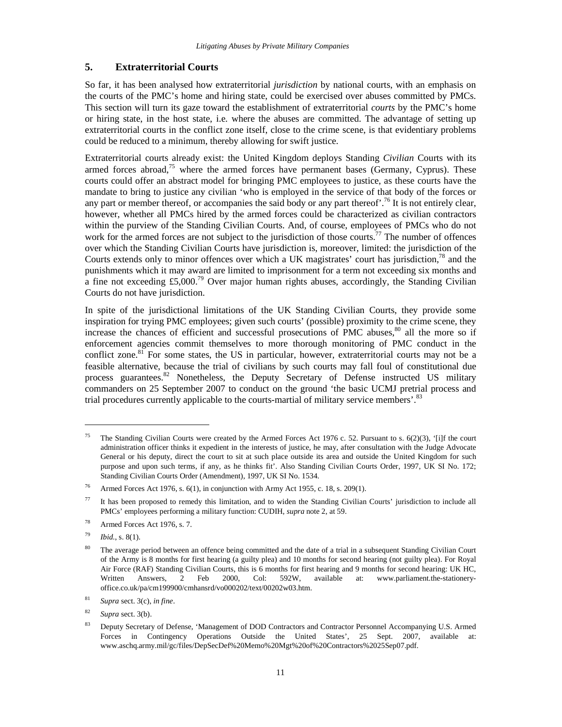## **5. Extraterritorial Courts**

So far, it has been analysed how extraterritorial *jurisdiction* by national courts, with an emphasis on the courts of the PMC's home and hiring state, could be exercised over abuses committed by PMCs. This section will turn its gaze toward the establishment of extraterritorial *courts* by the PMC's home or hiring state, in the host state, i.e. where the abuses are committed. The advantage of setting up extraterritorial courts in the conflict zone itself, close to the crime scene, is that evidentiary problems could be reduced to a minimum, thereby allowing for swift justice.

Extraterritorial courts already exist: the United Kingdom deploys Standing *Civilian* Courts with its armed forces abroad,<sup>75</sup> where the armed forces have permanent bases (Germany, Cyprus). These courts could offer an abstract model for bringing PMC employees to justice, as these courts have the mandate to bring to justice any civilian 'who is employed in the service of that body of the forces or any part or member thereof, or accompanies the said body or any part thereof'.<sup>76</sup> It is not entirely clear, however, whether all PMCs hired by the armed forces could be characterized as civilian contractors within the purview of the Standing Civilian Courts. And, of course, employees of PMCs who do not work for the armed forces are not subject to the jurisdiction of those courts.<sup>77</sup> The number of offences over which the Standing Civilian Courts have jurisdiction is, moreover, limited: the jurisdiction of the Courts extends only to minor offences over which a UK magistrates' court has jurisdiction.<sup>78</sup> and the punishments which it may award are limited to imprisonment for a term not exceeding six months and a fine not exceeding  $£5,000.^{79}$  Over major human rights abuses, accordingly, the Standing Civilian Courts do not have jurisdiction.

In spite of the jurisdictional limitations of the UK Standing Civilian Courts, they provide some inspiration for trying PMC employees; given such courts' (possible) proximity to the crime scene, they increase the chances of efficient and successful prosecutions of PMC abuses, $\frac{80}{30}$  all the more so if enforcement agencies commit themselves to more thorough monitoring of PMC conduct in the conflict zone.<sup>81</sup> For some states, the US in particular, however, extraterritorial courts may not be a feasible alternative, because the trial of civilians by such courts may fall foul of constitutional due process guarantees.<sup>82</sup> Nonetheless, the Deputy Secretary of Defense instructed US military commanders on 25 September 2007 to conduct on the ground 'the basic UCMJ pretrial process and trial procedures currently applicable to the courts-martial of military service members'.<sup>83</sup>

<sup>&</sup>lt;sup>75</sup> The Standing Civilian Courts were created by the Armed Forces Act 1976 c. 52. Pursuant to s.  $6(2)(3)$ , '[i]f the court administration officer thinks it expedient in the interests of justice, he may, after consultation with the Judge Advocate General or his deputy, direct the court to sit at such place outside its area and outside the United Kingdom for such purpose and upon such terms, if any, as he thinks fit'. Also Standing Civilian Courts Order, 1997, UK SI No. 172; Standing Civilian Courts Order (Amendment), 1997, UK SI No. 1534.

<sup>&</sup>lt;sup>76</sup> Armed Forces Act 1976, s.  $6(1)$ , in conjunction with Army Act 1955, c. 18, s. 209(1).

 $77$  It has been proposed to remedy this limitation, and to widen the Standing Civilian Courts' jurisdiction to include all PMCs' employees performing a military function: CUDIH, *supra* note 2, at 59.

<sup>78</sup> Armed Forces Act 1976, s. 7.

<sup>79</sup> *Ibid.*, s. 8(1).

<sup>&</sup>lt;sup>80</sup> The average period between an offence being committed and the date of a trial in a subsequent Standing Civilian Court of the Army is 8 months for first hearing (a guilty plea) and 10 months for second hearing (not guilty plea). For Royal Air Force (RAF) Standing Civilian Courts, this is 6 months for first hearing and 9 months for second hearing: UK HC, Written Answers, 2 Feb 2000, Col: 592W, available at: www.parliament.the-stationeryoffice.co.uk/pa/cm199900/cmhansrd/vo000202/text/00202w03.htm.

<sup>81</sup> *Supra* sect. 3(c), *in fine*.

<sup>82</sup> *Supra* sect. 3(b).

<sup>83</sup> Deputy Secretary of Defense, 'Management of DOD Contractors and Contractor Personnel Accompanying U.S. Armed Forces in Contingency Operations Outside the United States', 25 Sept. 2007, available at: www.aschq.army.mil/gc/files/DepSecDef%20Memo%20Mgt%20of%20Contractors%2025Sep07.pdf.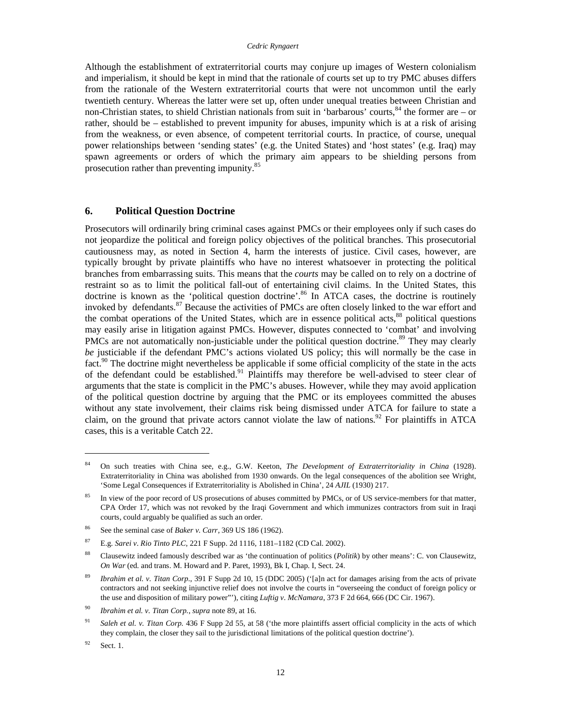Although the establishment of extraterritorial courts may conjure up images of Western colonialism and imperialism, it should be kept in mind that the rationale of courts set up to try PMC abuses differs from the rationale of the Western extraterritorial courts that were not uncommon until the early twentieth century. Whereas the latter were set up, often under unequal treaties between Christian and non-Christian states, to shield Christian nationals from suit in 'barbarous' courts, $84$  the former are – or rather, should be – established to prevent impunity for abuses, impunity which is at a risk of arising from the weakness, or even absence, of competent territorial courts. In practice, of course, unequal power relationships between 'sending states' (e.g. the United States) and 'host states' (e.g. Iraq) may spawn agreements or orders of which the primary aim appears to be shielding persons from prosecution rather than preventing impunity.<sup>85</sup>

## **6. Political Question Doctrine**

Prosecutors will ordinarily bring criminal cases against PMCs or their employees only if such cases do not jeopardize the political and foreign policy objectives of the political branches. This prosecutorial cautiousness may, as noted in Section 4, harm the interests of justice. Civil cases, however, are typically brought by private plaintiffs who have no interest whatsoever in protecting the political branches from embarrassing suits. This means that the *courts* may be called on to rely on a doctrine of restraint so as to limit the political fall-out of entertaining civil claims. In the United States, this doctrine is known as the 'political question doctrine'.<sup>86</sup> In ATCA cases, the doctrine is routinely invoked by defendants. $87$  Because the activities of PMCs are often closely linked to the war effort and the combat operations of the United States, which are in essence political acts,<sup>88</sup> political questions may easily arise in litigation against PMCs. However, disputes connected to 'combat' and involving PMCs are not automatically non-justiciable under the political question doctrine.<sup>89</sup> They may clearly *be* justiciable if the defendant PMC's actions violated US policy; this will normally be the case in fact.<sup>90</sup> The doctrine might nevertheless be applicable if some official complicity of the state in the acts of the defendant could be established.<sup>91</sup> Plaintiffs may therefore be well-advised to steer clear of arguments that the state is complicit in the PMC's abuses. However, while they may avoid application of the political question doctrine by arguing that the PMC or its employees committed the abuses without any state involvement, their claims risk being dismissed under ATCA for failure to state a claim, on the ground that private actors cannot violate the law of nations.<sup>92</sup> For plaintiffs in ATCA cases, this is a veritable Catch 22.

<sup>84</sup> On such treaties with China see, e.g., G.W. Keeton, *The Development of Extraterritoriality in China* (1928). Extraterritoriality in China was abolished from 1930 onwards. On the legal consequences of the abolition see Wright, 'Some Legal Consequences if Extraterritoriality is Abolished in China', 24 *AJIL* (1930) 217.

<sup>&</sup>lt;sup>85</sup> In view of the poor record of US prosecutions of abuses committed by PMCs, or of US service-members for that matter, CPA Order 17, which was not revoked by the Iraqi Government and which immunizes contractors from suit in Iraqi courts, could arguably be qualified as such an order.

<sup>86</sup> See the seminal case of *Baker v. Carr*, 369 US 186 (1962).

<sup>87</sup> E.g. *Sarei v*. *Rio Tinto PLC*, 221 F Supp. 2d 1116, 1181–1182 (CD Cal. 2002).

<sup>88</sup> Clausewitz indeed famously described war as 'the continuation of politics (*Politik*) by other means': C. von Clausewitz, *On War* (ed. and trans. M. Howard and P. Paret, 1993), Bk I, Chap. I, Sect. 24.

<sup>89</sup> *Ibrahim et al. v. Titan Corp.*, 391 F Supp 2d 10, 15 (DDC 2005) ('[a]n act for damages arising from the acts of private contractors and not seeking injunctive relief does not involve the courts in "overseeing the conduct of foreign policy or the use and disposition of military power"'), citing *Luftig v*. *McNamara*, 373 F 2d 664, 666 (DC Cir. 1967).

<sup>90</sup> *Ibrahim et al. v. Titan Corp.*, *supra* note 89, at 16.

<sup>91</sup> *Saleh et al. v. Titan Corp.* 436 F Supp 2d 55, at 58 ('the more plaintiffs assert official complicity in the acts of which they complain, the closer they sail to the jurisdictional limitations of the political question doctrine').

<sup>92</sup> Sect. 1.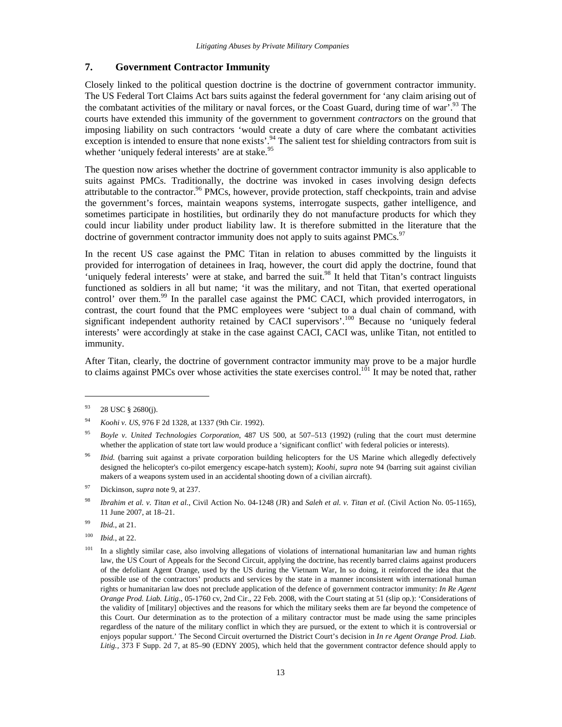## **7. Government Contractor Immunity**

Closely linked to the political question doctrine is the doctrine of government contractor immunity. The US Federal Tort Claims Act bars suits against the federal government for 'any claim arising out of the combatant activities of the military or naval forces, or the Coast Guard, during time of war'.<sup>93</sup> The courts have extended this immunity of the government to government *contractors* on the ground that imposing liability on such contractors 'would create a duty of care where the combatant activities exception is intended to ensure that none exists'.<sup>94</sup> The salient test for shielding contractors from suit is whether 'uniquely federal interests' are at stake.<sup>95</sup>

The question now arises whether the doctrine of government contractor immunity is also applicable to suits against PMCs. Traditionally, the doctrine was invoked in cases involving design defects attributable to the contractor.<sup>96</sup> PMCs, however, provide protection, staff checkpoints, train and advise the government's forces, maintain weapons systems, interrogate suspects, gather intelligence, and sometimes participate in hostilities, but ordinarily they do not manufacture products for which they could incur liability under product liability law. It is therefore submitted in the literature that the doctrine of government contractor immunity does not apply to suits against PMCs.<sup>97</sup>

In the recent US case against the PMC Titan in relation to abuses committed by the linguists it provided for interrogation of detainees in Iraq, however, the court did apply the doctrine, found that 'uniquely federal interests' were at stake, and barred the suit.<sup>98</sup> It held that Titan's contract linguists functioned as soldiers in all but name; 'it was the military, and not Titan, that exerted operational control' over them.<sup>99</sup> In the parallel case against the PMC CACI, which provided interrogators, in contrast, the court found that the PMC employees were 'subject to a dual chain of command, with significant independent authority retained by CACI supervisors'.<sup>100</sup> Because no 'uniquely federal interests' were accordingly at stake in the case against CACI, CACI was, unlike Titan, not entitled to immunity.

After Titan, clearly, the doctrine of government contractor immunity may prove to be a major hurdle to claims against PMCs over whose activities the state exercises control.<sup>101</sup> It may be noted that, rather

 $93$  28 USC § 2680(j).

<sup>94</sup> *Koohi v. US*, 976 F 2d 1328, at 1337 (9th Cir. 1992).

<sup>95</sup> *Boyle v. United Technologies Corporation*, 487 US 500, at 507–513 (1992) (ruling that the court must determine whether the application of state tort law would produce a 'significant conflict' with federal policies or interests).

<sup>96</sup> *Ibid.* (barring suit against a private corporation building helicopters for the US Marine which allegedly defectively designed the helicopter's co-pilot emergency escape-hatch system); *Koohi, supra* note 94 (barring suit against civilian makers of a weapons system used in an accidental shooting down of a civilian aircraft).

<sup>97</sup> Dickinson, *supra* note 9, at 237.

<sup>98</sup> *Ibrahim et al. v. Titan et al.*, Civil Action No. 04-1248 (JR) and *Saleh et al. v. Titan et al.* (Civil Action No. 05-1165), 11 June 2007, at 18–21.

<sup>99</sup> *Ibid.*, at 21.

<sup>100</sup> *Ibid.*, at 22.

<sup>&</sup>lt;sup>101</sup> In a slightly similar case, also involving allegations of violations of international humanitarian law and human rights law, the US Court of Appeals for the Second Circuit, applying the doctrine, has recently barred claims against producers of the defoliant Agent Orange, used by the US during the Vietnam War, In so doing, it reinforced the idea that the possible use of the contractors' products and services by the state in a manner inconsistent with international human rights or humanitarian law does not preclude application of the defence of government contractor immunity: *In Re Agent Orange Prod. Liab. Litig.*, 05-1760 cv, 2nd Cir., 22 Feb. 2008, with the Court stating at 51 (slip op.): 'Considerations of the validity of [military] objectives and the reasons for which the military seeks them are far beyond the competence of this Court. Our determination as to the protection of a military contractor must be made using the same principles regardless of the nature of the military conflict in which they are pursued, or the extent to which it is controversial or enjoys popular support.' The Second Circuit overturned the District Court's decision in *In re Agent Orange Prod. Liab. Litig.,* 373 F Supp. 2d 7, at 85–90 (EDNY 2005), which held that the government contractor defence should apply to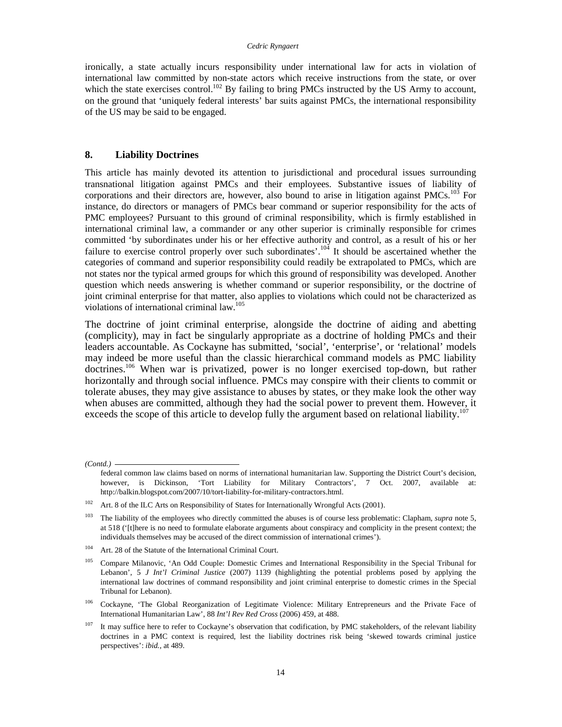ironically, a state actually incurs responsibility under international law for acts in violation of international law committed by non-state actors which receive instructions from the state, or over which the state exercises control.<sup>102</sup> By failing to bring PMCs instructed by the US Army to account, on the ground that 'uniquely federal interests' bar suits against PMCs, the international responsibility of the US may be said to be engaged.

#### **8. Liability Doctrines**

This article has mainly devoted its attention to jurisdictional and procedural issues surrounding transnational litigation against PMCs and their employees. Substantive issues of liability of corporations and their directors are, however, also bound to arise in litigation against PMCs.<sup>103</sup> For instance, do directors or managers of PMCs bear command or superior responsibility for the acts of PMC employees? Pursuant to this ground of criminal responsibility, which is firmly established in international criminal law, a commander or any other superior is criminally responsible for crimes committed 'by subordinates under his or her effective authority and control, as a result of his or her failure to exercise control properly over such subordinates'.<sup>104</sup> It should be ascertained whether the categories of command and superior responsibility could readily be extrapolated to PMCs, which are not states nor the typical armed groups for which this ground of responsibility was developed. Another question which needs answering is whether command or superior responsibility, or the doctrine of joint criminal enterprise for that matter, also applies to violations which could not be characterized as violations of international criminal law.<sup>105</sup>

The doctrine of joint criminal enterprise, alongside the doctrine of aiding and abetting (complicity), may in fact be singularly appropriate as a doctrine of holding PMCs and their leaders accountable. As Cockayne has submitted, 'social', 'enterprise', or 'relational' models may indeed be more useful than the classic hierarchical command models as PMC liability doctrines.<sup>106</sup> When war is privatized, power is no longer exercised top-down, but rather horizontally and through social influence. PMCs may conspire with their clients to commit or tolerate abuses, they may give assistance to abuses by states, or they make look the other way when abuses are committed, although they had the social power to prevent them. However, it exceeds the scope of this article to develop fully the argument based on relational liability.<sup>107</sup>

*<sup>(</sup>Contd.)* 

federal common law claims based on norms of international humanitarian law. Supporting the District Court's decision, however, is Dickinson, 'Tort Liability for Military Contractors', 7 Oct. 2007, available at: http://balkin.blogspot.com/2007/10/tort-liability-for-military-contractors.html.

<sup>&</sup>lt;sup>102</sup> Art. 8 of the ILC Arts on Responsibility of States for Internationally Wrongful Acts (2001).

<sup>103</sup> The liability of the employees who directly committed the abuses is of course less problematic: Clapham, *supra* note 5, at 518 ('[t]here is no need to formulate elaborate arguments about conspiracy and complicity in the present context; the individuals themselves may be accused of the direct commission of international crimes').

<sup>&</sup>lt;sup>104</sup> Art. 28 of the Statute of the International Criminal Court.

<sup>&</sup>lt;sup>105</sup> Compare Milanovic, 'An Odd Couple: Domestic Crimes and International Responsibility in the Special Tribunal for Lebanon', 5 *J Int'l Criminal Justice* (2007) 1139 (highlighting the potential problems posed by applying the international law doctrines of command responsibility and joint criminal enterprise to domestic crimes in the Special Tribunal for Lebanon).

<sup>106</sup> Cockayne, 'The Global Reorganization of Legitimate Violence: Military Entrepreneurs and the Private Face of International Humanitarian Law', 88 *Int'l Rev Red Cross* (2006) 459, at 488.

<sup>&</sup>lt;sup>107</sup> It may suffice here to refer to Cockayne's observation that codification, by PMC stakeholders, of the relevant liability doctrines in a PMC context is required, lest the liability doctrines risk being 'skewed towards criminal justice perspectives': *ibid.*, at 489.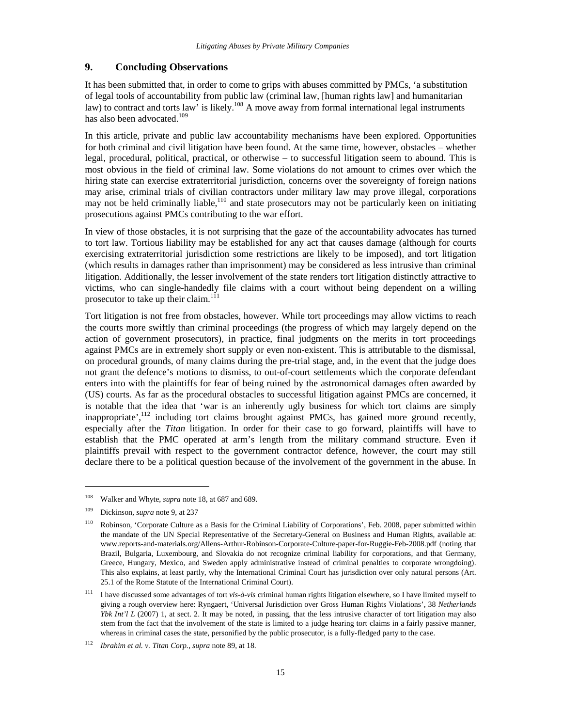## **9. Concluding Observations**

It has been submitted that, in order to come to grips with abuses committed by PMCs, 'a substitution of legal tools of accountability from public law (criminal law, [human rights law] and humanitarian law) to contract and torts law' is likely.<sup>108</sup> A move away from formal international legal instruments has also been advocated.<sup>109</sup>

In this article, private and public law accountability mechanisms have been explored. Opportunities for both criminal and civil litigation have been found. At the same time, however, obstacles – whether legal, procedural, political, practical, or otherwise – to successful litigation seem to abound. This is most obvious in the field of criminal law. Some violations do not amount to crimes over which the hiring state can exercise extraterritorial jurisdiction, concerns over the sovereignty of foreign nations may arise, criminal trials of civilian contractors under military law may prove illegal, corporations may not be held criminally liable,<sup>110</sup> and state prosecutors may not be particularly keen on initiating prosecutions against PMCs contributing to the war effort.

In view of those obstacles, it is not surprising that the gaze of the accountability advocates has turned to tort law. Tortious liability may be established for any act that causes damage (although for courts exercising extraterritorial jurisdiction some restrictions are likely to be imposed), and tort litigation (which results in damages rather than imprisonment) may be considered as less intrusive than criminal litigation. Additionally, the lesser involvement of the state renders tort litigation distinctly attractive to victims, who can single-handedly file claims with a court without being dependent on a willing prosecutor to take up their claim. $111$ 

Tort litigation is not free from obstacles, however. While tort proceedings may allow victims to reach the courts more swiftly than criminal proceedings (the progress of which may largely depend on the action of government prosecutors), in practice, final judgments on the merits in tort proceedings against PMCs are in extremely short supply or even non-existent. This is attributable to the dismissal, on procedural grounds, of many claims during the pre-trial stage, and, in the event that the judge does not grant the defence's motions to dismiss, to out-of-court settlements which the corporate defendant enters into with the plaintiffs for fear of being ruined by the astronomical damages often awarded by (US) courts. As far as the procedural obstacles to successful litigation against PMCs are concerned, it is notable that the idea that 'war is an inherently ugly business for which tort claims are simply inappropriate',<sup>112</sup> including tort claims brought against PMCs, has gained more ground recently, especially after the *Titan* litigation. In order for their case to go forward, plaintiffs will have to establish that the PMC operated at arm's length from the military command structure. Even if plaintiffs prevail with respect to the government contractor defence, however, the court may still declare there to be a political question because of the involvement of the government in the abuse. In

<sup>108</sup> Walker and Whyte, *supra* note 18, at 687 and 689.

<sup>109</sup> Dickinson, *supra* note 9, at 237

<sup>110</sup> Robinson, 'Corporate Culture as a Basis for the Criminal Liability of Corporations', Feb. 2008, paper submitted within the mandate of the UN Special Representative of the Secretary-General on Business and Human Rights, available at: www.reports-and-materials.org/Allens-Arthur-Robinson-Corporate-Culture-paper-for-Ruggie-Feb-2008.pdf (noting that Brazil, Bulgaria, Luxembourg, and Slovakia do not recognize criminal liability for corporations, and that Germany, Greece, Hungary, Mexico, and Sweden apply administrative instead of criminal penalties to corporate wrongdoing). This also explains, at least partly, why the International Criminal Court has jurisdiction over only natural persons (Art. 25.1 of the Rome Statute of the International Criminal Court).

<sup>111</sup> I have discussed some advantages of tort *vis-à-vis* criminal human rights litigation elsewhere, so I have limited myself to giving a rough overview here: Ryngaert, 'Universal Jurisdiction over Gross Human Rights Violations', 38 *Netherlands Ybk Int'l L* (2007) 1, at sect. 2. It may be noted, in passing, that the less intrusive character of tort litigation may also stem from the fact that the involvement of the state is limited to a judge hearing tort claims in a fairly passive manner, whereas in criminal cases the state, personified by the public prosecutor, is a fully-fledged party to the case.

<sup>112</sup> *Ibrahim et al. v. Titan Corp.*, *supra* note 89, at 18.